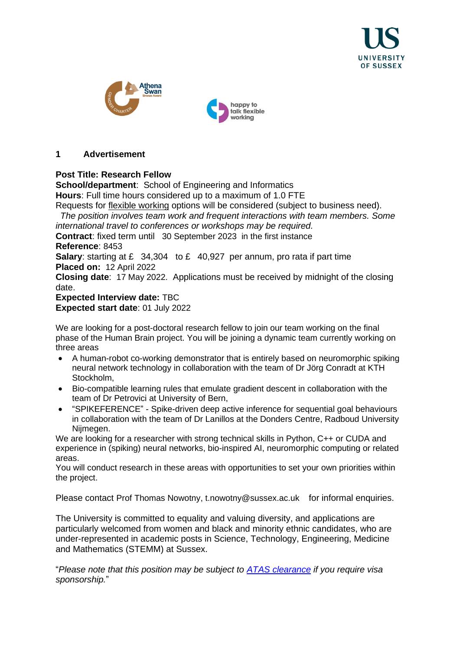





## **1 Advertisement**

## **Post Title: Research Fellow**

**School/department**: School of Engineering and Informatics **Hours**: Full time hours considered up to a maximum of 1.0 FTE

Requests for [flexible working](http://www.sussex.ac.uk/humanresources/personnel/flexible-working) options will be considered (subject to business need). *The position involves team work and frequent interactions with team members. Some* 

*international travel to conferences or workshops may be required.*

**Contract:** fixed term until 30 September 2023 in the first instance **Reference**: 8453

**Salary:** starting at £ 34,304 to £ 40,927 per annum, pro rata if part time **Placed on:** 12 April 2022

**Closing date**: 17 May 2022. Applications must be received by midnight of the closing date.

## **Expected Interview date:** TBC **Expected start date**: 01 July 2022

We are looking for a post-doctoral research fellow to join our team working on the final phase of the Human Brain project. You will be joining a dynamic team currently working on three areas

- A human-robot co-working demonstrator that is entirely based on neuromorphic spiking neural network technology in collaboration with the team of Dr Jörg Conradt at KTH Stockholm,
- Bio-compatible learning rules that emulate gradient descent in collaboration with the team of Dr Petrovici at University of Bern,
- "SPIKEFERENCE" Spike-driven deep active inference for sequential goal behaviours in collaboration with the team of Dr Lanillos at the Donders Centre, Radboud University Nijmegen.

We are looking for a researcher with strong technical skills in Python, C++ or CUDA and experience in (spiking) neural networks, bio-inspired AI, neuromorphic computing or related areas.

You will conduct research in these areas with opportunities to set your own priorities within the project.

Please contact Prof Thomas Nowotny, t.nowotny@sussex.ac.uk for informal enquiries.

The University is committed to equality and valuing diversity, and applications are particularly welcomed from women and black and minority ethnic candidates, who are under-represented in academic posts in Science, Technology, Engineering, Medicine and Mathematics (STEMM) at Sussex.

"*Please note that this position may be subject to [ATAS clearance](https://www.gov.uk/guidance/academic-technology-approval-scheme) if you require visa sponsorship.*"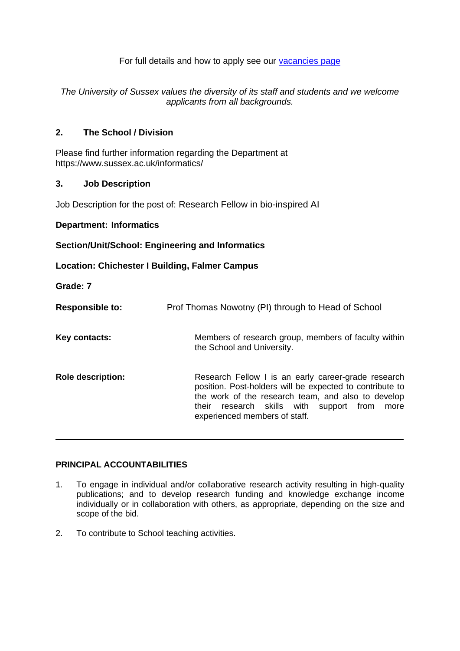For full details and how to apply see our [vacancies page](http://www.sussex.ac.uk/about/jobs)

*The University of Sussex values the diversity of its staff and students and we welcome applicants from all backgrounds.*

## **2. The School / Division**

Please find further information regarding the Department at https://www.sussex.ac.uk/informatics/

## **3. Job Description**

Job Description for the post of: Research Fellow in bio-inspired AI

#### **Department: Informatics**

#### **Section/Unit/School: Engineering and Informatics**

**Location: Chichester I Building, Falmer Campus**

**Grade: 7**

| <b>Responsible to:</b>   | Prof Thomas Nowotny (PI) through to Head of School                                                                                                                                                                                                           |
|--------------------------|--------------------------------------------------------------------------------------------------------------------------------------------------------------------------------------------------------------------------------------------------------------|
| Key contacts:            | Members of research group, members of faculty within<br>the School and University.                                                                                                                                                                           |
| <b>Role description:</b> | Research Fellow I is an early career-grade research<br>position. Post-holders will be expected to contribute to<br>the work of the research team, and also to develop<br>their research skills with<br>support from<br>more<br>experienced members of staff. |

## **PRINCIPAL ACCOUNTABILITIES**

- 1. To engage in individual and/or collaborative research activity resulting in high-quality publications; and to develop research funding and knowledge exchange income individually or in collaboration with others, as appropriate, depending on the size and scope of the bid.
- 2. To contribute to School teaching activities.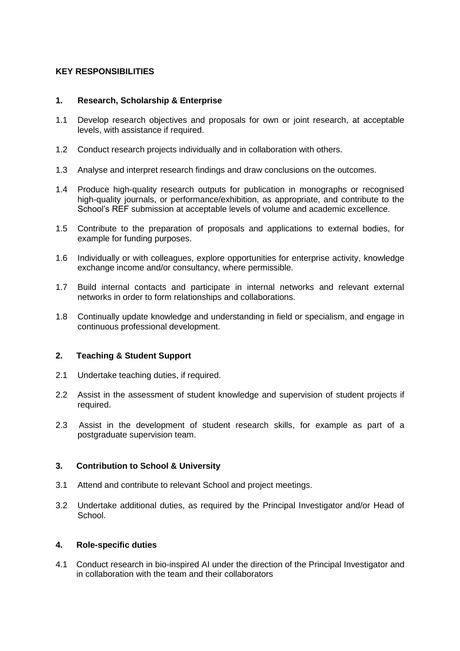## **KEY RESPONSIBILITIES**

#### **1. Research, Scholarship & Enterprise**

- 1.1 Develop research objectives and proposals for own or joint research, at acceptable levels, with assistance if required.
- 1.2 Conduct research projects individually and in collaboration with others.
- 1.3 Analyse and interpret research findings and draw conclusions on the outcomes.
- 1.4 Produce high-quality research outputs for publication in monographs or recognised high-quality journals, or performance/exhibition, as appropriate, and contribute to the School's REF submission at acceptable levels of volume and academic excellence.
- 1.5 Contribute to the preparation of proposals and applications to external bodies, for example for funding purposes.
- 1.6 Individually or with colleagues, explore opportunities for enterprise activity, knowledge exchange income and/or consultancy, where permissible.
- 1.7 Build internal contacts and participate in internal networks and relevant external networks in order to form relationships and collaborations.
- 1.8 Continually update knowledge and understanding in field or specialism, and engage in continuous professional development.

## **2. Teaching & Student Support**

- 2.1 Undertake teaching duties, if required.
- 2.2 Assist in the assessment of student knowledge and supervision of student projects if required.
- 2.3 Assist in the development of student research skills, for example as part of a postgraduate supervision team.

## **3. Contribution to School & University**

- 3.1 Attend and contribute to relevant School and project meetings.
- 3.2 Undertake additional duties, as required by the Principal Investigator and/or Head of School.

#### **4. Role-specific duties**

4.1 Conduct research in bio-inspired AI under the direction of the Principal Investigator and in collaboration with the team and their collaborators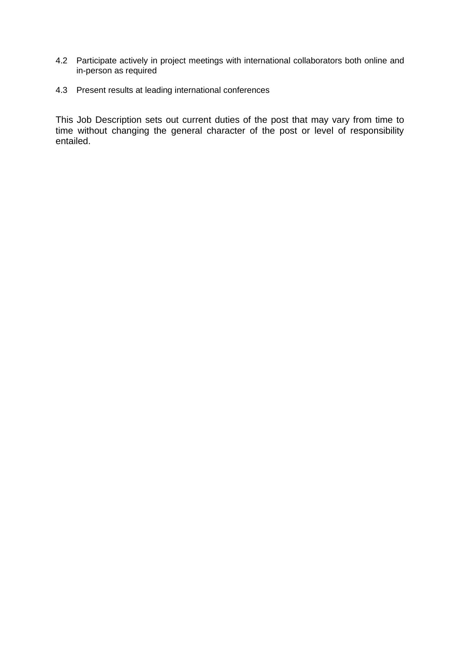- 4.2 Participate actively in project meetings with international collaborators both online and in-person as required
- 4.3 Present results at leading international conferences

This Job Description sets out current duties of the post that may vary from time to time without changing the general character of the post or level of responsibility entailed.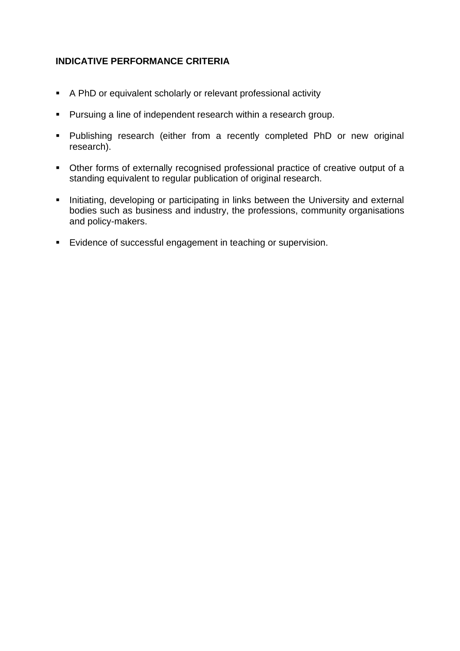# **INDICATIVE PERFORMANCE CRITERIA**

- A PhD or equivalent scholarly or relevant professional activity
- Pursuing a line of independent research within a research group.
- Publishing research (either from a recently completed PhD or new original research).
- Other forms of externally recognised professional practice of creative output of a standing equivalent to regular publication of original research.
- **EXEDENT Initiating, developing or participating in links between the University and external** bodies such as business and industry, the professions, community organisations and policy-makers.
- Evidence of successful engagement in teaching or supervision.